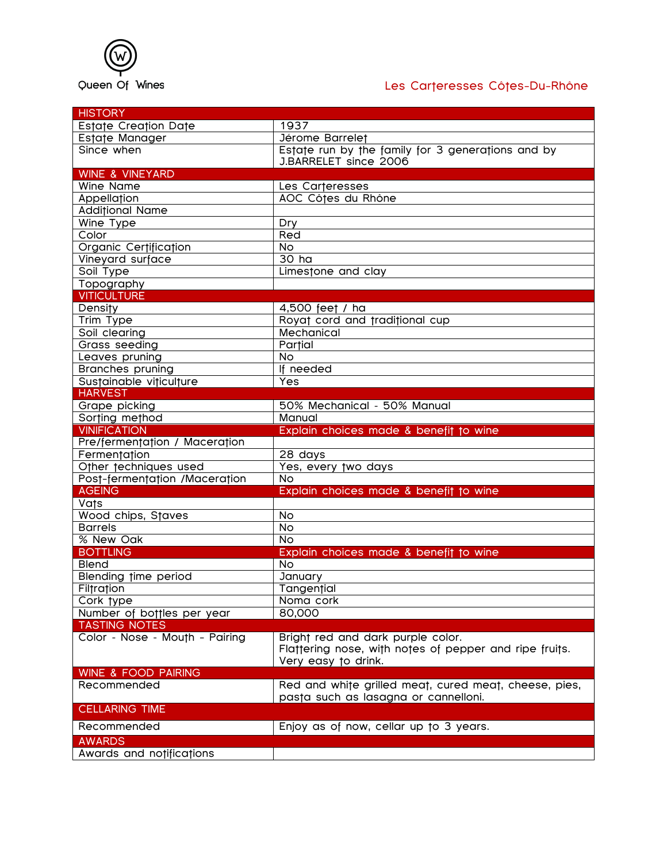

## Les Carteresses Côtes-Du-Rhône

| <b>HISTORY</b>                 |                                                        |
|--------------------------------|--------------------------------------------------------|
| Estate Creation Date           | 1937                                                   |
| Estate Manager                 | Jérome Barrelet                                        |
| Since when                     | Estate run by the family for 3 generations and by      |
|                                | J.BARRELET since 2006                                  |
| WINE & VINEYARD                |                                                        |
| Wine Name                      | Les Carteresses                                        |
| Appellation                    | AOC Côtes du Rhône                                     |
| <b>Additional Name</b>         |                                                        |
| Wine Type                      | Dry                                                    |
| Color                          | Red                                                    |
| Organic Certification          | $\overline{N}$                                         |
| Vineyard surface               | $\overline{3}0$ ha                                     |
| Soil Type                      | Limestone and clay                                     |
| Topography                     |                                                        |
| <b>VITICULTURE</b>             |                                                        |
| <b>Density</b>                 | 4,500 feet / ha                                        |
| Trim Type                      | Royat cord and traditional cup                         |
| Soil clearing                  | Mechanical                                             |
| Grass seeding                  | Partial                                                |
| Leaves pruning                 | <b>No</b>                                              |
| <b>Branches pruning</b>        | If needed                                              |
| Sustainable viticulture        | Yes                                                    |
| <b>HARVEST</b>                 |                                                        |
| Grape picking                  | 50% Mechanical - 50% Manual                            |
| Sorting method                 | Manual                                                 |
| <b>VINIFICATION</b>            | Explain choices made & benefit to wine                 |
| Pre/fermentation / Maceration  |                                                        |
| Fermentation                   | 28 days                                                |
| Other techniques used          | Yes, every two days                                    |
| Post-fermentation /Maceration  | <b>No</b>                                              |
| <b>AGEING</b>                  | Explain choices made & benefit to wine                 |
| <b>Vats</b>                    |                                                        |
| Wood chips, Staves             | <b>No</b>                                              |
| <b>Barrels</b>                 | <b>No</b>                                              |
| % New Oak                      | $\overline{N}$                                         |
| <b>BOTTLING</b>                | Explain choices made & benefit to wine                 |
| <b>Blend</b>                   | No                                                     |
| Blending time period           | January                                                |
| Filtration                     | Tangential                                             |
| Cork type                      | Noma cork                                              |
| Number of bottles per year     | 80,000                                                 |
| <b>TASTING NOTES</b>           |                                                        |
| Color - Nose - Mouth - Pairing | Bright red and dark purple color.                      |
|                                | Flattering nose, with notes of pepper and ripe fruits. |
|                                | Very easy to drink.                                    |
| <b>WINE &amp; FOOD PAIRING</b> |                                                        |
| Recommended                    | Red and white grilled meat, cured meat, cheese, pies,  |
|                                | pasta such as lasagna or cannelloni.                   |
| <b>CELLARING TIME</b>          |                                                        |
| Recommended                    | Enjoy as of now, cellar up to 3 years.                 |
|                                |                                                        |
| <b>AWARDS</b>                  |                                                        |
| Awards and notifications       |                                                        |